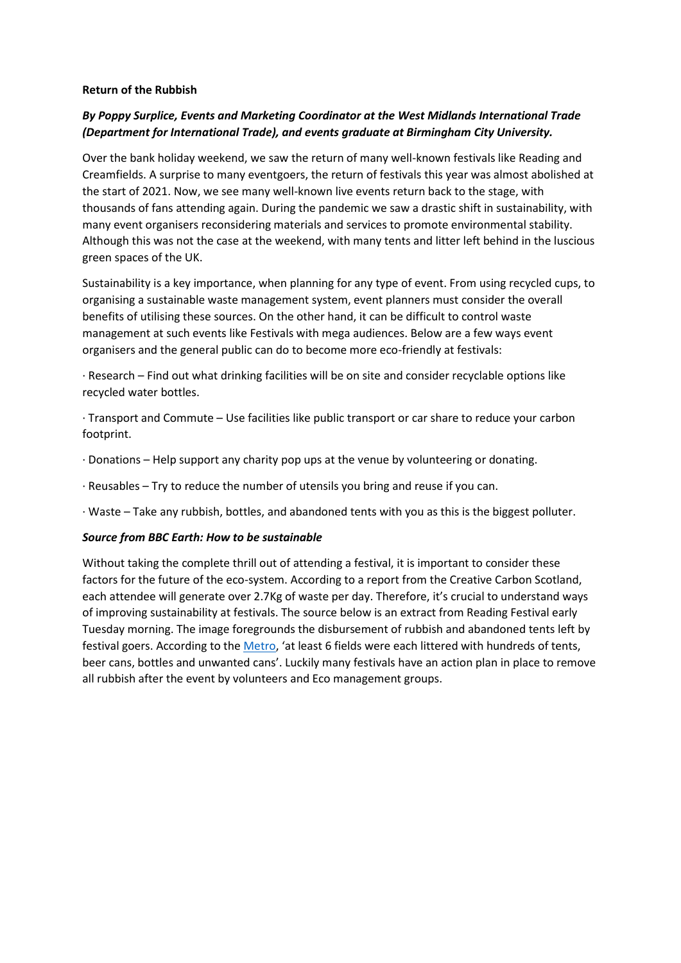## **Return of the Rubbish**

## *By Poppy Surplice, Events and Marketing Coordinator at the West Midlands International Trade (Department for International Trade), and events graduate at Birmingham City University.*

Over the bank holiday weekend, we saw the return of many well-known festivals like Reading and Creamfields. A surprise to many eventgoers, the return of festivals this year was almost abolished at the start of 2021. Now, we see many well-known live events return back to the stage, with thousands of fans attending again. During the pandemic we saw a drastic shift in sustainability, with many event organisers reconsidering materials and services to promote environmental stability. Although this was not the case at the weekend, with many tents and litter left behind in the luscious green spaces of the UK.

Sustainability is a key importance, when planning for any type of event. From using recycled cups, to organising a sustainable waste management system, event planners must consider the overall benefits of utilising these sources. On the other hand, it can be difficult to control waste management at such events like Festivals with mega audiences. Below are a few ways event organisers and the general public can do to become more eco-friendly at festivals:

· Research – Find out what drinking facilities will be on site and consider recyclable options like recycled water bottles.

· Transport and Commute – Use facilities like public transport or car share to reduce your carbon footprint.

- · Donations Help support any charity pop ups at the venue by volunteering or donating.
- · Reusables Try to reduce the number of utensils you bring and reuse if you can.
- · Waste Take any rubbish, bottles, and abandoned tents with you as this is the biggest polluter.

## *Source from BBC Earth: How to be sustainable*

Without taking the complete thrill out of attending a festival, it is important to consider these factors for the future of the eco-system. According to a report from the Creative Carbon Scotland, each attendee will generate over 2.7Kg of waste per day. Therefore, it's crucial to understand ways of improving sustainability at festivals. The source below is an extract from Reading Festival early Tuesday morning. The image foregrounds the disbursement of rubbish and abandoned tents left by festival goers. According to the [Metro](https://metro.co.uk/2021/08/31/this-is-how-the-generation-that-cares-about-the-planet-left-reading-festival-15184937/), 'at least 6 fields were each littered with hundreds of tents, beer cans, bottles and unwanted cans'. Luckily many festivals have an action plan in place to remove all rubbish after the event by volunteers and Eco management groups.